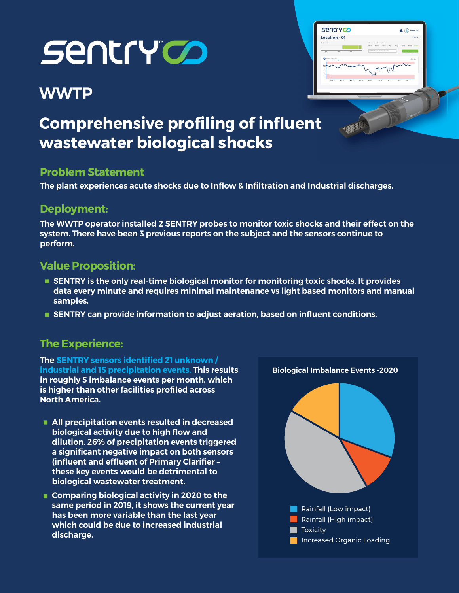# **SENTY OD**

## **WWTP**



# Comprehensive profiling of influent wastewater biological shocks

#### Problem Statement

The plant experiences acute shocks due to Inflow & Infiltration and Industrial discharges.

## Deployment:

The WWTP operator installed 2 SENTRY probes to monitor toxic shocks and their effect on the system. There have been 3 previous reports on the subject and the sensors continue to perform.

### Value Proposition:

- **SENTRY** is the only real-time biological monitor for monitoring toxic shocks. It provides data every minute and requires minimal maintenance vs light based monitors and manual samples.
- **SENTRY can provide information to adjust aeration, based on influent conditions.**

#### The Experience:

The SENTRY sensors identified 21 unknown / industrial and 15 precipitation events. This results in roughly 5 imbalance events per month, which is higher than other facilities profiled across North America.

- **All precipitation events resulted in decreased** biological activity due to high flow and dilution. 26% of precipitation events triggered a significant negative impact on both sensors (influent and effluent of Primary Clarifier – these key events would be detrimental to biological wastewater treatment.
- Comparing biological activity in 2020 to the same period in 2019, it shows the current year has been more variable than the last year which could be due to increased industrial discharge.